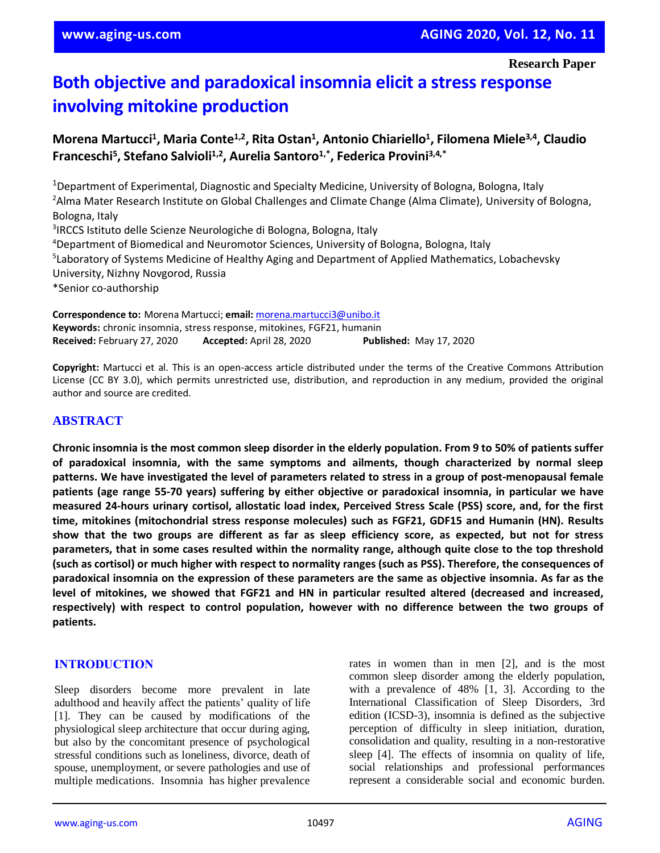# **Both objective and paradoxical insomnia elicit a stress response involving mitokine production**

## **Morena Martucci<sup>1</sup> , Maria Conte1,2, Rita Ostan<sup>1</sup> , Antonio Chiariello<sup>1</sup> , Filomena Miele3,4, Claudio Franceschi<sup>5</sup> , Stefano Salvioli1,2, Aurelia Santoro1,\*, Federica Provini3,4,\***

<sup>1</sup>Department of Experimental, Diagnostic and Specialty Medicine, University of Bologna, Bologna, Italy <sup>2</sup> Alma Mater Research Institute on Global Challenges and Climate Change (Alma Climate), University of Bologna, Bologna, Italy 3 IRCCS Istituto delle Scienze Neurologiche di Bologna, Bologna, Italy <sup>4</sup>Department of Biomedical and Neuromotor Sciences, University of Bologna, Bologna, Italy <sup>5</sup>Laboratory of Systems Medicine of Healthy Aging and Department of Applied Mathematics, Lobachevsky University, Nizhny Novgorod, Russia \*Senior co-authorship

**Correspondence to:** Morena Martucci; **email:** [morena.martucci3@unibo.it](mailto:morena.martucci3@unibo.it) **Keywords:** chronic insomnia, stress response, mitokines, FGF21, humanin **Received:** February 27, 2020 **Accepted:** April 28, 2020 **Published:** May 17, 2020

**Copyright:** Martucci et al. This is an open-access article distributed under the terms of the Creative Commons Attribution License (CC BY 3.0), which permits unrestricted use, distribution, and reproduction in any medium, provided the original author and source are credited.

## **ABSTRACT**

Chronic insomnia is the most common sleep disorder in the elderly population. From 9 to 50% of patients suffer **of paradoxical insomnia, with the same symptoms and ailments, though characterized by normal sleep** patterns. We have investigated the level of parameters related to stress in a group of post-menopausal female **patients (age range 55-70 years) suffering by either objective or paradoxical insomnia, in particular we have** measured 24-hours urinary cortisol, allostatic load index, Perceived Stress Scale (PSS) score, and, for the first **time, mitokines (mitochondrial stress response molecules) such as FGF21, GDF15 and Humanin (HN). Results** show that the two groups are different as far as sleep efficiency score, as expected, but not for stress parameters, that in some cases resulted within the normality range, although quite close to the top threshold (such as cortisol) or much higher with respect to normality ranges (such as PSS). Therefore, the consequences of paradoxical insomnia on the expression of these parameters are the same as objective insomnia. As far as the **level of mitokines, we showed that FGF21 and HN in particular resulted altered (decreased and increased, respectively) with respect to control population, however with no difference between the two groups of patients.**

## **INTRODUCTION**

Sleep disorders become more prevalent in late adulthood and heavily affect the patients' quality of life [1]. They can be caused by modifications of the physiological sleep architecture that occur during aging, but also by the concomitant presence of psychological stressful conditions such as loneliness, divorce, death of spouse, unemployment, or severe pathologies and use of multiple medications. Insomnia has higher prevalence rates in women than in men [2], and is the most common sleep disorder among the elderly population, with a prevalence of 48% [1, 3]. According to the International Classification of Sleep Disorders, 3rd edition (ICSD-3), insomnia is defined as the subjective perception of difficulty in sleep initiation, duration, consolidation and quality, resulting in a non-restorative sleep [4]. The effects of insomnia on quality of life, social relationships and professional performances represent a considerable social and economic burden.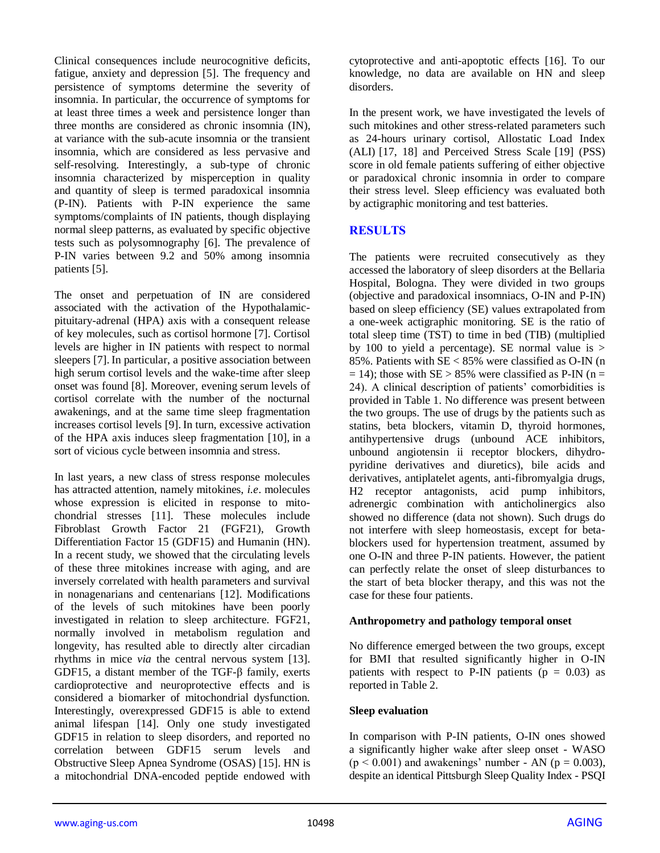Clinical consequences include neurocognitive deficits, fatigue, anxiety and depression [5]. The frequency and persistence of symptoms determine the severity of insomnia. In particular, the occurrence of symptoms for at least three times a week and persistence longer than three months are considered as chronic insomnia (IN), at variance with the sub-acute insomnia or the transient insomnia, which are considered as less pervasive and self-resolving. Interestingly, a sub-type of chronic insomnia characterized by misperception in quality and quantity of sleep is termed paradoxical insomnia (P-IN). Patients with P-IN experience the same symptoms/complaints of IN patients, though displaying normal sleep patterns, as evaluated by specific objective tests such as polysomnography [6]. The prevalence of P-IN varies between 9.2 and 50% among insomnia patients [5].

The onset and perpetuation of IN are considered associated with the activation of the Hypothalamicpituitary-adrenal (HPA) axis with a consequent release of key molecules, such as cortisol hormone [7]. Cortisol levels are higher in IN patients with respect to normal sleepers [7].In particular, a positive association between high serum cortisol levels and the wake-time after sleep onset was found [8]. Moreover, evening serum levels of cortisol correlate with the number of the nocturnal awakenings, and at the same time sleep fragmentation increases cortisol levels [9]. In turn, excessive activation of the HPA axis induces sleep fragmentation [10], in a sort of vicious cycle between insomnia and stress.

In last years, a new class of stress response molecules has attracted attention, namely mitokines, *i.e*. molecules whose expression is elicited in response to mitochondrial stresses [11]. These molecules include Fibroblast Growth Factor 21 (FGF21), Growth Differentiation Factor 15 (GDF15) and Humanin (HN). In a recent study, we showed that the circulating levels of these three mitokines increase with aging, and are inversely correlated with health parameters and survival in nonagenarians and centenarians [12]. Modifications of the levels of such mitokines have been poorly investigated in relation to sleep architecture. FGF21, normally involved in metabolism regulation and longevity, has resulted able to directly alter circadian rhythms in mice *via* the central nervous system [13]. GDF15, a distant member of the TGF-β family, exerts cardioprotective and neuroprotective effects and is considered a biomarker of mitochondrial dysfunction. Interestingly, overexpressed GDF15 is able to extend animal lifespan [14]. Only one study investigated GDF15 in relation to sleep disorders, and reported no correlation between GDF15 serum levels and Obstructive Sleep Apnea Syndrome (OSAS) [15]. HN is a mitochondrial DNA-encoded peptide endowed with cytoprotective and anti-apoptotic effects [16]. To our knowledge, no data are available on HN and sleep disorders.

In the present work, we have investigated the levels of such mitokines and other stress-related parameters such as 24-hours urinary cortisol, Allostatic Load Index (ALI) [17, 18] and Perceived Stress Scale [19] (PSS) score in old female patients suffering of either objective or paradoxical chronic insomnia in order to compare their stress level. Sleep efficiency was evaluated both by actigraphic monitoring and test batteries.

## **RESULTS**

The patients were recruited consecutively as they accessed the laboratory of sleep disorders at the Bellaria Hospital, Bologna. They were divided in two groups (objective and paradoxical insomniacs, O-IN and P-IN) based on sleep efficiency (SE) values extrapolated from a one-week actigraphic monitoring. SE is the ratio of total sleep time (TST) to time in bed (TIB) (multiplied by 100 to yield a percentage). SE normal value is > 85%. Patients with SE < 85% were classified as O-IN (n  $= 14$ ); those with SE > 85% were classified as P-IN (n = 24). A clinical description of patients' comorbidities is provided in Table 1. No difference was present between the two groups. The use of drugs by the patients such as statins, beta blockers, vitamin D, thyroid hormones, antihypertensive drugs (unbound ACE inhibitors, unbound angiotensin ii receptor blockers, dihydropyridine derivatives and diuretics), bile acids and derivatives, antiplatelet agents, anti-fibromyalgia drugs, H2 receptor antagonists, acid pump inhibitors, adrenergic combination with anticholinergics also showed no difference (data not shown). Such drugs do not interfere with sleep homeostasis, except for betablockers used for hypertension treatment, assumed by one O-IN and three P-IN patients. However, the patient can perfectly relate the onset of sleep disturbances to the start of beta blocker therapy, and this was not the case for these four patients.

## **Anthropometry and pathology temporal onset**

No difference emerged between the two groups, except for BMI that resulted significantly higher in O-IN patients with respect to P-IN patients ( $p = 0.03$ ) as reported in Table 2.

## **Sleep evaluation**

In comparison with P-IN patients, O-IN ones showed a significantly higher wake after sleep onset - WASO  $(p < 0.001)$  and awakenings' number - AN  $(p = 0.003)$ , despite an identical Pittsburgh Sleep Quality Index - PSQI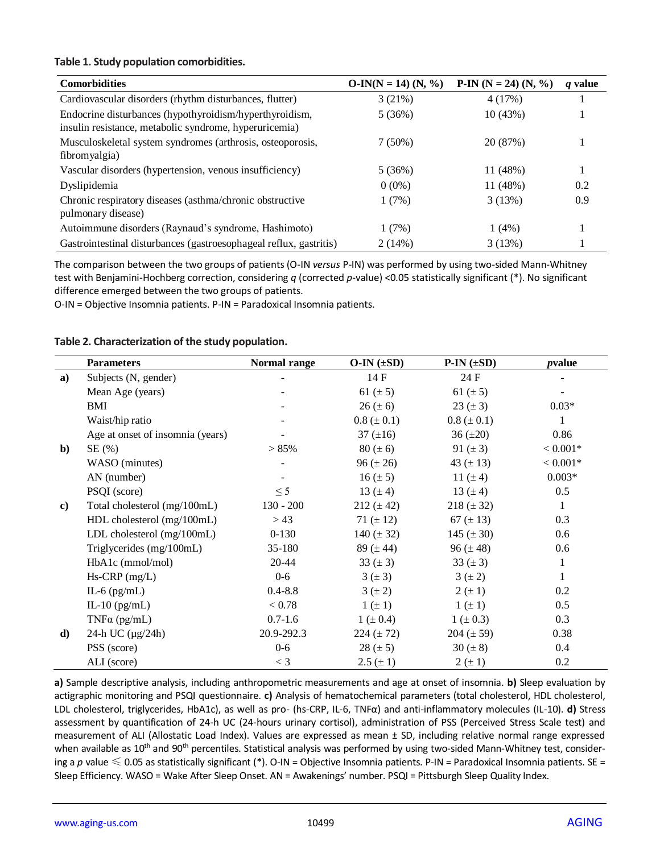#### **Table 1. Study population comorbidities.**

| <b>Comorbidities</b>                                                                                              | $O-IN(N = 14) (N, %)$ | $P-IN (N = 24) (N, %$ | q value |
|-------------------------------------------------------------------------------------------------------------------|-----------------------|-----------------------|---------|
| Cardiovascular disorders (rhythm disturbances, flutter)                                                           | 3(21%)                | 4(17%)                |         |
| Endocrine disturbances (hypothyroidism/hyperthyroidism,<br>insulin resistance, metabolic syndrome, hyperuricemia) | 5(36%)                | 10(43%)               |         |
| Musculoskeletal system syndromes (arthrosis, osteoporosis,<br>fibromyalgia)                                       | 7(50%)                | 20 (87%)              |         |
| Vascular disorders (hypertension, venous insufficiency)                                                           | 5(36%)                | 11 (48%)              |         |
| Dyslipidemia                                                                                                      | $0(0\%)$              | 11 (48%)              | 0.2     |
| Chronic respiratory diseases (asthma/chronic obstructive<br>pulmonary disease)                                    | 1(7%)                 | 3(13%)                | 0.9     |
| Autoimmune disorders (Raynaud's syndrome, Hashimoto)                                                              | 1(7%)                 | $1(4\%)$              |         |
| Gastrointestinal disturbances (gastroesophageal reflux, gastritis)                                                | 2(14%)                | 3(13%)                |         |

The comparison between the two groups of patients (O-IN *versus* P-IN) was performed by using two-sided Mann-Whitney test with Benjamini-Hochberg correction, considering *q* (corrected *p*-value) <0.05 statistically significant (\*). No significant difference emerged between the two groups of patients.

O-IN = Objective Insomnia patients. P-IN = Paradoxical Insomnia patients.

#### **Table 2. Characterization of the study population.**

|    | <b>Parameters</b>                | Normal range | $O-IN (±SD)$    | $P-IN (\pm SD)$ | pvalue       |
|----|----------------------------------|--------------|-----------------|-----------------|--------------|
| a) | Subjects (N, gender)             |              | 14 F            | 24 F            |              |
|    | Mean Age (years)                 |              | 61 $(\pm 5)$    | 61 $(\pm 5)$    |              |
|    | BMI                              |              | $26 (\pm 6)$    | $23 (\pm 3)$    | $0.03*$      |
|    | Waist/hip ratio                  |              | $0.8 (\pm 0.1)$ | $0.8 (\pm 0.1)$ | 1            |
|    | Age at onset of insomnia (years) |              | 37 $(\pm 16)$   | $36 (\pm 20)$   | 0.86         |
| b) | SE(%)                            | > 85%        | $80 (\pm 6)$    | 91 $(\pm 3)$    | $< 0.001*$   |
|    | WASO (minutes)                   |              | $96 (\pm 26)$   | 43 $(\pm 13)$   | $< 0.001*$   |
|    | AN (number)                      |              | $16 (\pm 5)$    | 11 $(\pm 4)$    | $0.003*$     |
|    | PSQI (score)                     | $\leq$ 5     | 13 $(\pm 4)$    | 13 $(\pm 4)$    | 0.5          |
| c) | Total cholesterol (mg/100mL)     | $130 - 200$  | $212 (\pm 42)$  | $218 (\pm 32)$  | $\mathbf{1}$ |
|    | HDL cholesterol (mg/100mL)       | > 43         | 71 $(\pm 12)$   | 67 $(\pm 13)$   | 0.3          |
|    | LDL cholesterol (mg/100mL)       | $0-130$      | 140 $(\pm 32)$  | 145 $(\pm 30)$  | 0.6          |
|    | Triglycerides (mg/100mL)         | 35-180       | 89 $(\pm 44)$   | 96 $(\pm 48)$   | 0.6          |
|    | HbA1c (mmol/mol)                 | 20-44        | 33 $(\pm 3)$    | 33 $(\pm 3)$    | $\mathbf{1}$ |
|    | $Hs-CRP$ (mg/L)                  | $0-6$        | $3 (\pm 3)$     | $3(\pm 2)$      | $\mathbf{1}$ |
|    | IL-6 $(pg/mL)$                   | $0.4 - 8.8$  | $3(\pm 2)$      | $2(\pm 1)$      | 0.2          |
|    | IL-10 $(pg/mL)$                  | < 0.78       | $1 (\pm 1)$     | $1 (\pm 1)$     | 0.5          |
|    | TNF $\alpha$ (pg/mL)             | $0.7 - 1.6$  | $1 (\pm 0.4)$   | $1 (\pm 0.3)$   | 0.3          |
| d) | 24-h UC $(\mu g/24h)$            | 20.9-292.3   | 224 $(\pm 72)$  | $204 (\pm 59)$  | 0.38         |
|    | PSS (score)                      | $0-6$        | $28 (\pm 5)$    | 30 $(\pm 8)$    | 0.4          |
|    | ALI (score)                      | $<$ 3        | $2.5 (\pm 1)$   | $2(\pm 1)$      | 0.2          |

**a)** Sample descriptive analysis, including anthropometric measurements and age at onset of insomnia. **b)** Sleep evaluation by actigraphic monitoring and PSQI questionnaire. **c)** Analysis of hematochemical parameters (total cholesterol, HDL cholesterol, LDL cholesterol, triglycerides, HbA1c), as well as pro- (hs-CRP, IL-6, TNFα) and anti-inflammatory molecules (IL-10). **d)** Stress assessment by quantification of 24-h UC (24-hours urinary cortisol), administration of PSS (Perceived Stress Scale test) and measurement of ALI (Allostatic Load Index). Values are expressed as mean ± SD, including relative normal range expressed when available as 10<sup>th</sup> and 90<sup>th</sup> percentiles. Statistical analysis was performed by using two-sided Mann-Whitney test, considering a p value  $\leq 0.05$  as statistically significant (\*). O-IN = Objective Insomnia patients. P-IN = Paradoxical Insomnia patients. SE = Sleep Efficiency. WASO = Wake After Sleep Onset. AN = Awakenings' number. PSQI = Pittsburgh Sleep Quality Index.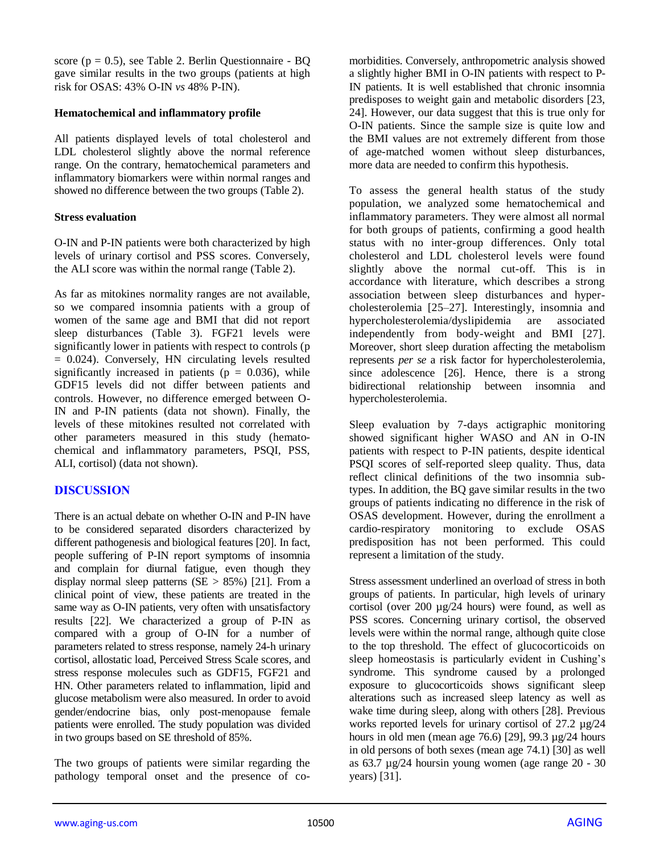score ( $p = 0.5$ ), see Table 2. Berlin Questionnaire - BQ gave similar results in the two groups (patients at high risk for OSAS: 43% O-IN *vs* 48% P-IN).

## **Hematochemical and inflammatory profile**

All patients displayed levels of total cholesterol and LDL cholesterol slightly above the normal reference range. On the contrary, hematochemical parameters and inflammatory biomarkers were within normal ranges and showed no difference between the two groups (Table 2).

## **Stress evaluation**

O-IN and P-IN patients were both characterized by high levels of urinary cortisol and PSS scores. Conversely, the ALI score was within the normal range (Table 2).

As far as mitokines normality ranges are not available, so we compared insomnia patients with a group of women of the same age and BMI that did not report sleep disturbances (Table 3). FGF21 levels were significantly lower in patients with respect to controls (p = 0.024). Conversely, HN circulating levels resulted significantly increased in patients ( $p = 0.036$ ), while GDF15 levels did not differ between patients and controls. However, no difference emerged between O-IN and P-IN patients (data not shown). Finally, the levels of these mitokines resulted not correlated with other parameters measured in this study (hematochemical and inflammatory parameters, PSQI, PSS, ALI, cortisol) (data not shown).

## **DISCUSSION**

There is an actual debate on whether O-IN and P-IN have to be considered separated disorders characterized by different pathogenesis and biological features [20]. In fact, people suffering of P-IN report symptoms of insomnia and complain for diurnal fatigue, even though they display normal sleep patterns  $(SE > 85\%)$  [21]. From a clinical point of view, these patients are treated in the same way as O-IN patients, very often with unsatisfactory results [22]. We characterized a group of P-IN as compared with a group of O-IN for a number of parameters related to stress response, namely 24-h urinary cortisol, allostatic load, Perceived Stress Scale scores, and stress response molecules such as GDF15, FGF21 and HN. Other parameters related to inflammation, lipid and glucose metabolism were also measured. In order to avoid gender/endocrine bias, only post-menopause female patients were enrolled. The study population was divided in two groups based on SE threshold of 85%.

The two groups of patients were similar regarding the pathology temporal onset and the presence of comorbidities. Conversely, anthropometric analysis showed a slightly higher BMI in O-IN patients with respect to P-IN patients. It is well established that chronic insomnia predisposes to weight gain and metabolic disorders [23, 24]. However, our data suggest that this is true only for O-IN patients. Since the sample size is quite low and the BMI values are not extremely different from those of age-matched women without sleep disturbances, more data are needed to confirm this hypothesis.

To assess the general health status of the study population, we analyzed some hematochemical and inflammatory parameters. They were almost all normal for both groups of patients, confirming a good health status with no inter-group differences. Only total cholesterol and LDL cholesterol levels were found slightly above the normal cut-off. This is in accordance with literature, which describes a strong association between sleep disturbances and hypercholesterolemia [25–27]. Interestingly, insomnia and hypercholesterolemia/dyslipidemia are associated independently from body-weight and BMI [27]. Moreover, short sleep duration affecting the metabolism represents *per se* a risk factor for hypercholesterolemia, since adolescence [26]. Hence, there is a strong bidirectional relationship between insomnia and hypercholesterolemia.

Sleep evaluation by 7-days actigraphic monitoring showed significant higher WASO and AN in O-IN patients with respect to P-IN patients, despite identical PSQI scores of self-reported sleep quality. Thus, data reflect clinical definitions of the two insomnia subtypes. In addition, the BQ gave similar results in the two groups of patients indicating no difference in the risk of OSAS development. However, during the enrollment a cardio-respiratory monitoring to exclude OSAS predisposition has not been performed. This could represent a limitation of the study.

Stress assessment underlined an overload of stress in both groups of patients. In particular, high levels of urinary cortisol (over 200 µg/24 hours) were found, as well as PSS scores. Concerning urinary cortisol, the observed levels were within the normal range, although quite close to the top threshold. The effect of glucocorticoids on sleep homeostasis is particularly evident in Cushing's syndrome. This syndrome caused by a prolonged exposure to glucocorticoids shows significant sleep alterations such as increased sleep latency as well as wake time during sleep, along with others [28]. Previous works reported levels for urinary cortisol of 27.2 µg/24 hours in old men (mean age 76.6) [29],  $99.3 \mu g/24$  hours in old persons of both sexes (mean age 74.1) [30] as well as 63.7 µg/24 hoursin young women (age range 20 - 30 years) [31].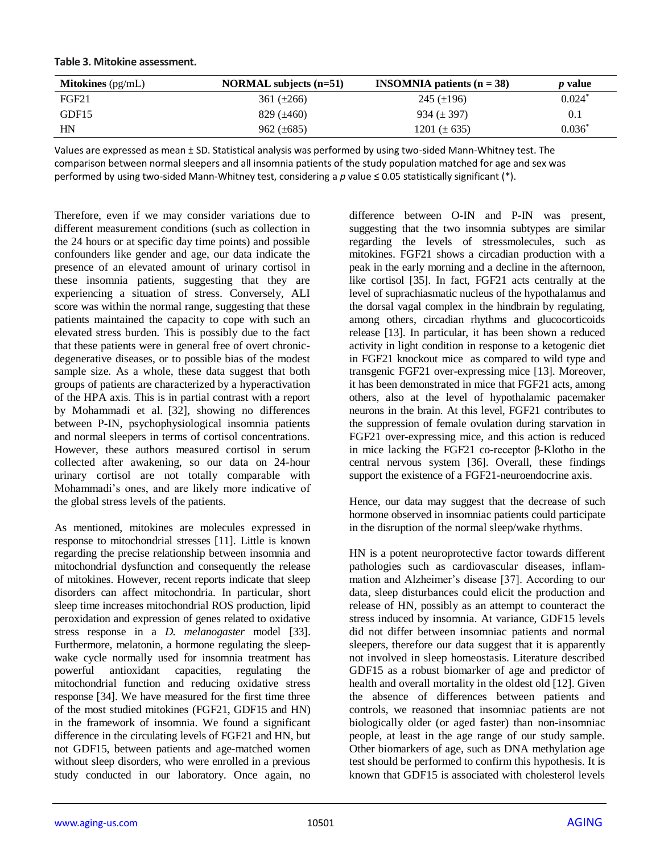| <b>Mitokines</b> $(pg/mL)$ | NORMAL subjects $(n=51)$ | <b>INSOMNIA</b> patients $(n = 38)$ | <i>p</i> value |
|----------------------------|--------------------------|-------------------------------------|----------------|
| FGF21                      | 361 $(\pm 266)$          | 245 $(\pm 196)$                     | $0.024*$       |
| GDF15                      | 829 $(\pm 460)$          | $934 (\pm 397)$                     |                |
| HN                         | $962 (\pm 685)$          | 1201 ( $\pm$ 635)                   | $0.036*$       |

#### **Table 3. Mitokine assessment.**

Values are expressed as mean ± SD. Statistical analysis was performed by using two-sided Mann-Whitney test. The comparison between normal sleepers and all insomnia patients of the study population matched for age and sex was performed by using two-sided Mann-Whitney test, considering a *p* value ≤ 0.05 statistically significant (\*).

Therefore, even if we may consider variations due to different measurement conditions (such as collection in the 24 hours or at specific day time points) and possible confounders like gender and age, our data indicate the presence of an elevated amount of urinary cortisol in these insomnia patients, suggesting that they are experiencing a situation of stress. Conversely, ALI score was within the normal range, suggesting that these patients maintained the capacity to cope with such an elevated stress burden. This is possibly due to the fact that these patients were in general free of overt chronicdegenerative diseases, or to possible bias of the modest sample size. As a whole, these data suggest that both groups of patients are characterized by a hyperactivation of the HPA axis. This is in partial contrast with a report by Mohammadi et al. [32], showing no differences between P-IN, psychophysiological insomnia patients and normal sleepers in terms of cortisol concentrations. However, these authors measured cortisol in serum collected after awakening, so our data on 24-hour urinary cortisol are not totally comparable with Mohammadi's ones, and are likely more indicative of the global stress levels of the patients.

As mentioned, mitokines are molecules expressed in response to mitochondrial stresses [11]. Little is known regarding the precise relationship between insomnia and mitochondrial dysfunction and consequently the release of mitokines. However, recent reports indicate that sleep disorders can affect mitochondria. In particular, short sleep time increases mitochondrial ROS production, lipid peroxidation and expression of genes related to oxidative stress response in a *D. melanogaster* model [33]. Furthermore, melatonin, a hormone regulating the sleepwake cycle normally used for insomnia treatment has powerful antioxidant capacities, regulating the mitochondrial function and reducing oxidative stress response [34]. We have measured for the first time three of the most studied mitokines (FGF21, GDF15 and HN) in the framework of insomnia. We found a significant difference in the circulating levels of FGF21 and HN, but not GDF15, between patients and age-matched women without sleep disorders, who were enrolled in a previous study conducted in our laboratory. Once again, no

difference between O-IN and P-IN was present, suggesting that the two insomnia subtypes are similar regarding the levels of stressmolecules, such as mitokines. FGF21 shows a circadian production with a peak in the early morning and a decline in the afternoon, like cortisol [35]. In fact, FGF21 acts centrally at the level of suprachiasmatic nucleus of the hypothalamus and the dorsal vagal complex in the hindbrain by regulating, among others, circadian rhythms and glucocorticoids release [13]. In particular, it has been shown a reduced activity in light condition in response to a ketogenic diet in FGF21 knockout mice as compared to wild type and transgenic FGF21 over-expressing mice [13]. Moreover, it has been demonstrated in mice that FGF21 acts, among others, also at the level of hypothalamic pacemaker neurons in the brain. At this level, FGF21 contributes to the suppression of female ovulation during starvation in FGF21 over-expressing mice, and this action is reduced in mice lacking the FGF21 co-receptor β-Klotho in the central nervous system [36]. Overall, these findings support the existence of a FGF21-neuroendocrine axis.

Hence, our data may suggest that the decrease of such hormone observed in insomniac patients could participate in the disruption of the normal sleep/wake rhythms.

HN is a potent neuroprotective factor towards different pathologies such as cardiovascular diseases, inflammation and Alzheimer's disease [37]. According to our data, sleep disturbances could elicit the production and release of HN, possibly as an attempt to counteract the stress induced by insomnia. At variance, GDF15 levels did not differ between insomniac patients and normal sleepers, therefore our data suggest that it is apparently not involved in sleep homeostasis. Literature described GDF15 as a robust biomarker of age and predictor of health and overall mortality in the oldest old [12]. Given the absence of differences between patients and controls, we reasoned that insomniac patients are not biologically older (or aged faster) than non-insomniac people, at least in the age range of our study sample. Other biomarkers of age, such as DNA methylation age test should be performed to confirm this hypothesis. It is known that GDF15 is associated with cholesterol levels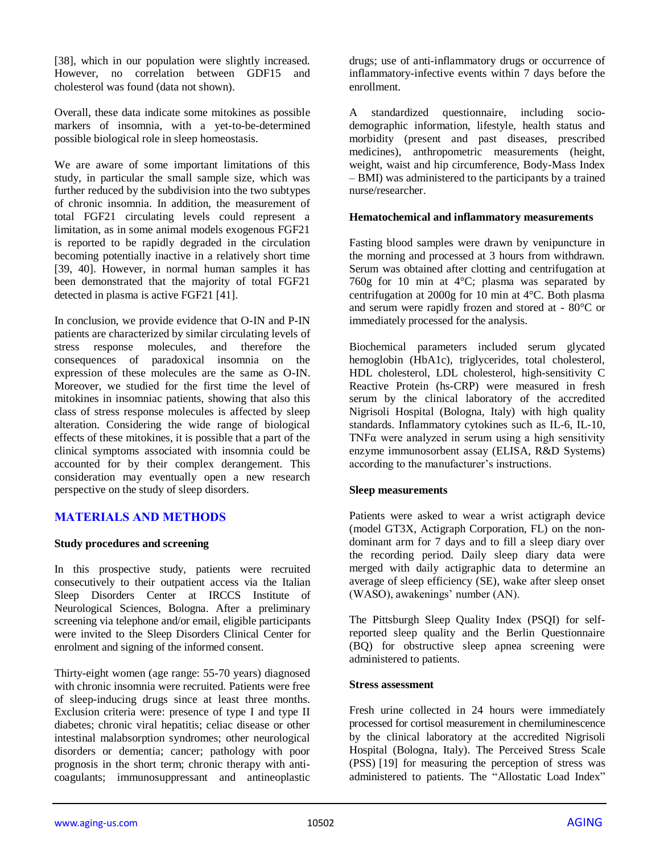[38], which in our population were slightly increased. However, no correlation between GDF15 and cholesterol was found (data not shown).

Overall, these data indicate some mitokines as possible markers of insomnia, with a yet-to-be-determined possible biological role in sleep homeostasis.

We are aware of some important limitations of this study, in particular the small sample size, which was further reduced by the subdivision into the two subtypes of chronic insomnia. In addition, the measurement of total FGF21 circulating levels could represent a limitation, as in some animal models exogenous FGF21 is reported to be rapidly degraded in the circulation becoming potentially inactive in a relatively short time [39, 40]. However, in normal human samples it has been demonstrated that the majority of total FGF21 detected in plasma is active FGF21 [41].

In conclusion, we provide evidence that O-IN and P-IN patients are characterized by similar circulating levels of stress response molecules, and therefore the consequences of paradoxical insomnia on the expression of these molecules are the same as O-IN. Moreover, we studied for the first time the level of mitokines in insomniac patients, showing that also this class of stress response molecules is affected by sleep alteration. Considering the wide range of biological effects of these mitokines, it is possible that a part of the clinical symptoms associated with insomnia could be accounted for by their complex derangement. This consideration may eventually open a new research perspective on the study of sleep disorders.

## **MATERIALS AND METHODS**

#### **Study procedures and screening**

In this prospective study, patients were recruited consecutively to their outpatient access via the Italian Sleep Disorders Center at IRCCS Institute of Neurological Sciences, Bologna. After a preliminary screening via telephone and/or email, eligible participants were invited to the Sleep Disorders Clinical Center for enrolment and signing of the informed consent.

Thirty-eight women (age range: 55-70 years) diagnosed with chronic insomnia were recruited. Patients were free of sleep-inducing drugs since at least three months. Exclusion criteria were: presence of type I and type II diabetes; chronic viral hepatitis; celiac disease or other intestinal malabsorption syndromes; other neurological disorders or dementia; cancer; pathology with poor prognosis in the short term; chronic therapy with anticoagulants; immunosuppressant and antineoplastic drugs; use of anti-inflammatory drugs or occurrence of inflammatory-infective events within 7 days before the enrollment.

A standardized questionnaire, including sociodemographic information, lifestyle, health status and morbidity (present and past diseases, prescribed medicines), anthropometric measurements (height, weight, waist and hip circumference, Body-Mass Index – BMI) was administered to the participants by a trained nurse/researcher.

#### **Hematochemical and inflammatory measurements**

Fasting blood samples were drawn by venipuncture in the morning and processed at 3 hours from withdrawn. Serum was obtained after clotting and centrifugation at 760g for 10 min at 4°C; plasma was separated by centrifugation at 2000g for 10 min at 4°C. Both plasma and serum were rapidly frozen and stored at - 80°C or immediately processed for the analysis.

Biochemical parameters included serum glycated hemoglobin (HbA1c), triglycerides, total cholesterol, HDL cholesterol, LDL cholesterol, high-sensitivity C Reactive Protein (hs-CRP) were measured in fresh serum by the clinical laboratory of the accredited Nigrisoli Hospital (Bologna, Italy) with high quality standards. Inflammatory cytokines such as IL-6, IL-10, TNFα were analyzed in serum using a high sensitivity enzyme immunosorbent assay (ELISA, R&D Systems) according to the manufacturer's instructions.

## **Sleep measurements**

Patients were asked to wear a wrist actigraph device (model GT3X, Actigraph Corporation, FL) on the nondominant arm for 7 days and to fill a sleep diary over the recording period. Daily sleep diary data were merged with daily actigraphic data to determine an average of sleep efficiency (SE), wake after sleep onset (WASO), awakenings' number (AN).

The Pittsburgh Sleep Quality Index (PSQI) for selfreported sleep quality and the Berlin Questionnaire (BQ) for obstructive sleep apnea screening were administered to patients.

#### **Stress assessment**

Fresh urine collected in 24 hours were immediately processed for cortisol measurement in chemiluminescence by the clinical laboratory at the accredited Nigrisoli Hospital (Bologna, Italy). The Perceived Stress Scale (PSS) [19] for measuring the perception of stress was administered to patients. The "Allostatic Load Index"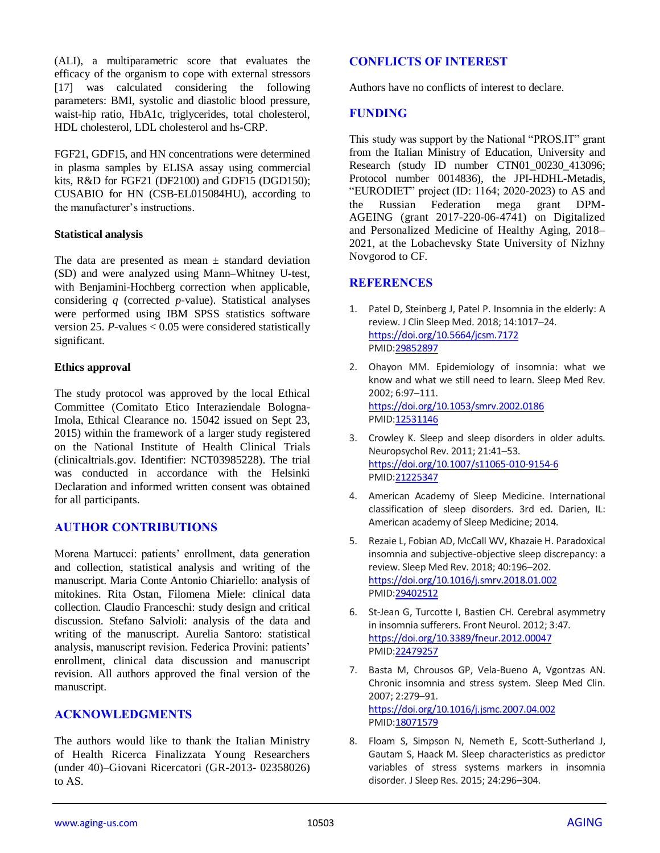(ALI), a multiparametric score that evaluates the efficacy of the organism to cope with external stressors [17] was calculated considering the following parameters: BMI, systolic and diastolic blood pressure, waist-hip ratio, HbA1c, triglycerides, total cholesterol, HDL cholesterol, LDL cholesterol and hs-CRP.

FGF21, GDF15, and HN concentrations were determined in plasma samples by ELISA assay using commercial kits, R&D for FGF21 (DF2100) and GDF15 (DGD150); CUSABIO for HN (CSB-EL015084HU), according to the manufacturer's instructions.

## **Statistical analysis**

The data are presented as mean  $\pm$  standard deviation (SD) and were analyzed using Mann–Whitney U-test, with Benjamini-Hochberg correction when applicable, considering *q* (corrected *p*-value). Statistical analyses were performed using IBM SPSS statistics software version 25. *P-*values < 0.05 were considered statistically significant.

#### **Ethics approval**

The study protocol was approved by the local Ethical Committee (Comitato Etico Interaziendale Bologna-Imola, Ethical Clearance no. 15042 issued on Sept 23, 2015) within the framework of a larger study registered on the National Institute of Health Clinical Trials (clinicaltrials.gov. Identifier: NCT03985228). The trial was conducted in accordance with the Helsinki Declaration and informed written consent was obtained for all participants.

## **AUTHOR CONTRIBUTIONS**

Morena Martucci: patients' enrollment, data generation and collection, statistical analysis and writing of the manuscript. Maria Conte Antonio Chiariello: analysis of mitokines. Rita Ostan, Filomena Miele: clinical data collection. Claudio Franceschi: study design and critical discussion. Stefano Salvioli: analysis of the data and writing of the manuscript. Aurelia Santoro: statistical analysis, manuscript revision. Federica Provini: patients' enrollment, clinical data discussion and manuscript revision. All authors approved the final version of the manuscript.

## **ACKNOWLEDGMENTS**

The authors would like to thank the Italian Ministry of Health Ricerca Finalizzata Young Researchers (under 40)–Giovani Ricercatori (GR-2013- 02358026) to AS.

## **CONFLICTS OF INTEREST**

Authors have no conflicts of interest to declare.

### **FUNDING**

This study was support by the National "PROS.IT" grant from the Italian Ministry of Education, University and Research (study ID number CTN01 00230 413096: Protocol number 0014836), the JPI-HDHL-Metadis, "EURODIET" project (ID: 1164; 2020-2023) to AS and the Russian Federation mega grant DPM-AGEING (grant 2017-220-06-4741) on Digitalized and Personalized Medicine of Healthy Aging, 2018– 2021, at the Lobachevsky State University of Nizhny Novgorod to CF.

## **REFERENCES**

- 1. Patel D, Steinberg J, Patel P. Insomnia in the elderly: A review. J Clin Sleep Med. 2018; 14:1017–24. <https://doi.org/10.5664/jcsm.7172> PMI[D:29852897](https://pubmed.ncbi.nlm.nih.gov/29852897)
- 2. Ohayon MM. Epidemiology of insomnia: what we know and what we still need to learn. Sleep Med Rev. 2002; 6:97–111. <https://doi.org/10.1053/smrv.2002.0186> PMI[D:12531146](https://pubmed.ncbi.nlm.nih.gov/12531146)
- 3. Crowley K. Sleep and sleep disorders in older adults. Neuropsychol Rev. 2011; 21:41–53. <https://doi.org/10.1007/s11065-010-9154-6> PMI[D:21225347](https://pubmed.ncbi.nlm.nih.gov/21225347)
- 4. American Academy of Sleep Medicine. International classification of sleep disorders. 3rd ed. Darien, IL: American academy of Sleep Medicine; 2014.
- 5. Rezaie L, Fobian AD, McCall WV, Khazaie H. Paradoxical insomnia and subjective-objective sleep discrepancy: a review. Sleep Med Rev. 2018; 40:196–202. <https://doi.org/10.1016/j.smrv.2018.01.002> PMI[D:29402512](https://pubmed.ncbi.nlm.nih.gov/29402512)
- 6. St-Jean G, Turcotte I, Bastien CH. Cerebral asymmetry in insomnia sufferers. Front Neurol. 2012; 3:47. <https://doi.org/10.3389/fneur.2012.00047> PMI[D:22479257](https://pubmed.ncbi.nlm.nih.gov/22479257)
- 7. Basta M, Chrousos GP, Vela-Bueno A, Vgontzas AN. Chronic insomnia and stress system. Sleep Med Clin. 2007; 2:279–91. <https://doi.org/10.1016/j.jsmc.2007.04.002> PMI[D:18071579](https://pubmed.ncbi.nlm.nih.gov/18071579)
- 8. Floam S, Simpson N, Nemeth E, Scott-Sutherland J, Gautam S, Haack M. Sleep characteristics as predictor variables of stress systems markers in insomnia disorder. J Sleep Res. 2015; 24:296–304.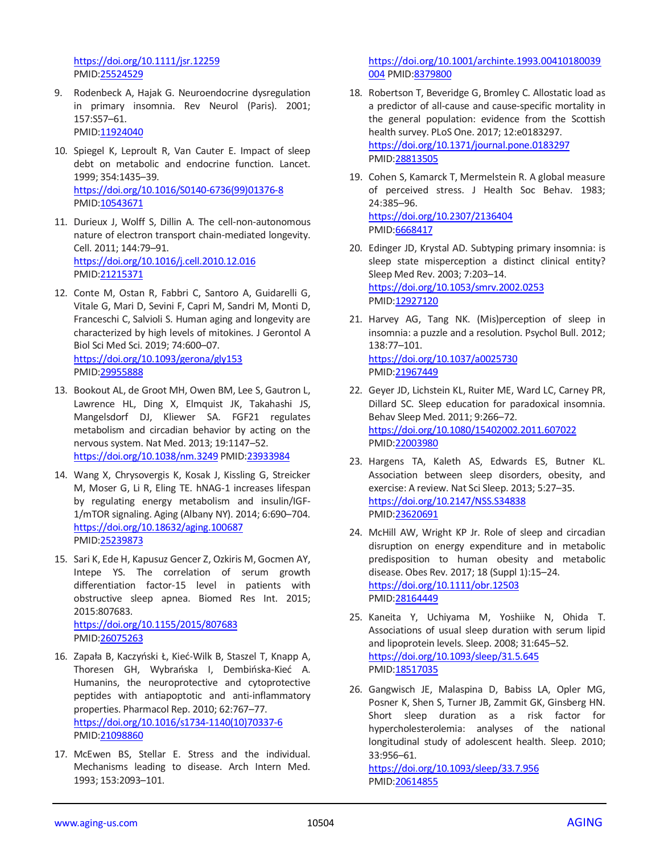<https://doi.org/10.1111/jsr.12259> PMID[:25524529](https://pubmed.ncbi.nlm.nih.gov/25524529)

- 9. Rodenbeck A, Hajak G. Neuroendocrine dysregulation in primary insomnia. Rev Neurol (Paris). 2001; 157:S57–61. PMID[:11924040](https://pubmed.ncbi.nlm.nih.gov/11924040)
- 10. Spiegel K, Leproult R, Van Cauter E. Impact of sleep debt on metabolic and endocrine function. Lancet. 1999; 354:1435–39. [https://doi.org/10.1016/S0140-6736\(99\)01376-8](https://doi.org/10.1016/S0140-6736(99)01376-8) PMID[:10543671](https://pubmed.ncbi.nlm.nih.gov/10543671)
- 11. Durieux J, Wolff S, Dillin A. The cell-non-autonomous nature of electron transport chain-mediated longevity. Cell. 2011; 144:79–91. <https://doi.org/10.1016/j.cell.2010.12.016> PMID[:21215371](https://pubmed.ncbi.nlm.nih.gov/21215371)
- 12. Conte M, Ostan R, Fabbri C, Santoro A, Guidarelli G, Vitale G, Mari D, Sevini F, Capri M, Sandri M, Monti D, Franceschi C, Salvioli S. Human aging and longevity are characterized by high levels of mitokines. J Gerontol A Biol Sci Med Sci. 2019; 74:600–07. <https://doi.org/10.1093/gerona/gly153> PMID[:29955888](https://pubmed.ncbi.nlm.nih.gov/29955888)
- 13. Bookout AL, de Groot MH, Owen BM, Lee S, Gautron L, Lawrence HL, Ding X, Elmquist JK, Takahashi JS, Mangelsdorf DJ, Kliewer SA. FGF21 regulates metabolism and circadian behavior by acting on the nervous system. Nat Med. 2013; 19:1147–52. <https://doi.org/10.1038/nm.3249> PMID[:23933984](https://pubmed.ncbi.nlm.nih.gov/23933984)
- 14. Wang X, Chrysovergis K, Kosak J, Kissling G, Streicker M, Moser G, Li R, Eling TE. hNAG-1 increases lifespan by regulating energy metabolism and insulin/IGF-1/mTOR signaling. Aging (Albany NY). 2014; 6:690–704. <https://doi.org/10.18632/aging.100687> PMID[:25239873](https://pubmed.ncbi.nlm.nih.gov/25239873)
- 15. Sari K, Ede H, Kapusuz Gencer Z, Ozkiris M, Gocmen AY, Intepe YS. The correlation of serum growth differentiation factor-15 level in patients with obstructive sleep apnea. Biomed Res Int. 2015; 2015:807683. <https://doi.org/10.1155/2015/807683> PMID[:26075263](https://pubmed.ncbi.nlm.nih.gov/26075263)
- 16. Zapała B, Kaczyński Ł, Kieć-Wilk B, Staszel T, Knapp A, Thoresen GH, Wybrańska I, Dembińska-Kieć A. Humanins, the neuroprotective and cytoprotective peptides with antiapoptotic and anti-inflammatory properties. Pharmacol Rep. 2010; 62:767–77. [https://doi.org/10.1016/s1734-1140\(10\)70337-6](https://doi.org/10.1016/s1734-1140(10)70337-6) PMID[:21098860](https://pubmed.ncbi.nlm.nih.gov/21098860)
- 17. McEwen BS, Stellar E. Stress and the individual. Mechanisms leading to disease. Arch Intern Med. 1993; 153:2093–101.

[https://doi.org/10.1001/archinte.1993.00410180039](https://doi.org/10.1001/archinte.1993.00410180039004) [004](https://doi.org/10.1001/archinte.1993.00410180039004) PMID[:8379800](https://pubmed.ncbi.nlm.nih.gov/8379800)

- 18. Robertson T, Beveridge G, Bromley C. Allostatic load as a predictor of all-cause and cause-specific mortality in the general population: evidence from the Scottish health survey. PLoS One. 2017; 12:e0183297. <https://doi.org/10.1371/journal.pone.0183297> PMI[D:28813505](https://pubmed.ncbi.nlm.nih.gov/28813505)
- 19. Cohen S, Kamarck T, Mermelstein R. A global measure of perceived stress. J Health Soc Behav. 1983; 24:385–96. <https://doi.org/10.2307/2136404> PMI[D:6668417](https://pubmed.ncbi.nlm.nih.gov/6668417)
- 20. Edinger JD, Krystal AD. Subtyping primary insomnia: is sleep state misperception a distinct clinical entity? Sleep Med Rev. 2003; 7:203–14. <https://doi.org/10.1053/smrv.2002.0253> PMI[D:12927120](https://pubmed.ncbi.nlm.nih.gov/12927120)
- 21. Harvey AG, Tang NK. (Mis)perception of sleep in insomnia: a puzzle and a resolution. Psychol Bull. 2012; 138:77–101. <https://doi.org/10.1037/a0025730> PMI[D:21967449](https://pubmed.ncbi.nlm.nih.gov/21967449)
- 22. Geyer JD, Lichstein KL, Ruiter ME, Ward LC, Carney PR, Dillard SC. Sleep education for paradoxical insomnia. Behav Sleep Med. 2011; 9:266–72. <https://doi.org/10.1080/15402002.2011.607022> PMI[D:22003980](https://pubmed.ncbi.nlm.nih.gov/22003980)
- 23. Hargens TA, Kaleth AS, Edwards ES, Butner KL. Association between sleep disorders, obesity, and exercise: A review. Nat Sci Sleep. 2013; 5:27–35. <https://doi.org/10.2147/NSS.S34838> PMI[D:23620691](https://pubmed.ncbi.nlm.nih.gov/23620691)
- 24. McHill AW, Wright KP Jr. Role of sleep and circadian disruption on energy expenditure and in metabolic predisposition to human obesity and metabolic disease. Obes Rev. 2017; 18 (Suppl 1):15–24. <https://doi.org/10.1111/obr.12503> PMI[D:28164449](https://pubmed.ncbi.nlm.nih.gov/28164449)
- 25. Kaneita Y, Uchiyama M, Yoshiike N, Ohida T. Associations of usual sleep duration with serum lipid and lipoprotein levels. Sleep. 2008; 31:645–52. <https://doi.org/10.1093/sleep/31.5.645> PMI[D:18517035](https://pubmed.ncbi.nlm.nih.gov/18517035)
- 26. Gangwisch JE, Malaspina D, Babiss LA, Opler MG, Posner K, Shen S, Turner JB, Zammit GK, Ginsberg HN. Short sleep duration as a risk factor for hypercholesterolemia: analyses of the national longitudinal study of adolescent health. Sleep. 2010; 33:956–61.

<https://doi.org/10.1093/sleep/33.7.956> PMI[D:20614855](https://pubmed.ncbi.nlm.nih.gov/20614855)